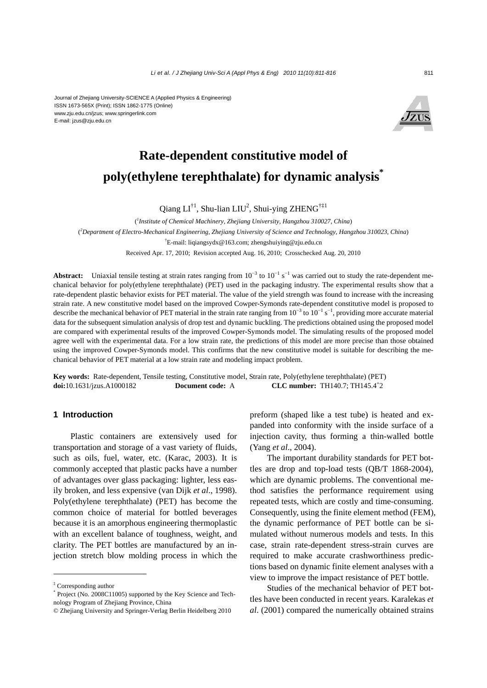#### Journal of Zhejiang University-SCIENCE A (Applied Physics & Engineering) ISSN 1673-565X (Print); ISSN 1862-1775 (Online) www.zju.edu.cn/jzus; www.springerlink.com E-mail: jzus@zju.edu.cn



# **Rate-dependent constitutive model of poly(ethylene terephthalate) for dynamic analysis\***

Qiang  $LI^{\dagger 1}$ , Shu-lian  $LIU^2$ , Shui-ying ZHENG<sup> $\dagger$  $\ddagger$ 1</sup>

( *1 Institute of Chemical Machinery, Zhejiang University, Hangzhou 310027, China*) ( *2 Department of Electro-Mechanical Engineering, Zhejiang University of Science and Technology, Hangzhou 310023, China*) † E-mail: liqiangsydx@163.com; zhengshuiying@zju.edu.cn

Received Apr. 17, 2010; Revision accepted Aug. 16, 2010; Crosschecked Aug. 20, 2010

Abstract: Uniaxial tensile testing at strain rates ranging from 10<sup>-3</sup> to 10<sup>-1</sup> s<sup>-1</sup> was carried out to study the rate-dependent mechanical behavior for poly(ethylene terephthalate) (PET) used in the packaging industry. The experimental results show that a rate-dependent plastic behavior exists for PET material. The value of the yield strength was found to increase with the increasing strain rate. A new constitutive model based on the improved Cowper-Symonds rate-dependent constitutive model is proposed to describe the mechanical behavior of PET material in the strain rate ranging from  $10^{-3}$  to  $10^{-1}$  s<sup>-1</sup>, providing more accurate material data for the subsequent simulation analysis of drop test and dynamic buckling. The predictions obtained using the proposed model are compared with experimental results of the improved Cowper-Symonds model. The simulating results of the proposed model agree well with the experimental data. For a low strain rate, the predictions of this model are more precise than those obtained using the improved Cowper-Symonds model. This confirms that the new constitutive model is suitable for describing the mechanical behavior of PET material at a low strain rate and modeling impact problem.

**Key words:** Rate-dependent, Tensile testing, Constitutive model, Strain rate, Poly(ethylene terephthalate) (PET) **doi:**10.1631/jzus.A1000182 **Document code:** A **CLC number:** TH140.7; TH145.4<sup>+</sup>2

## **1 Introduction**

Plastic containers are extensively used for transportation and storage of a vast variety of fluids, such as oils, fuel, water, etc. (Karac, 2003). It is commonly accepted that plastic packs have a number of advantages over glass packaging: lighter, less easily broken, and less expensive (van Dijk *et al*., 1998). Poly(ethylene terephthalate) (PET) has become the common choice of material for bottled beverages because it is an amorphous engineering thermoplastic with an excellent balance of toughness, weight, and clarity. The PET bottles are manufactured by an injection stretch blow molding process in which the

preform (shaped like a test tube) is heated and expanded into conformity with the inside surface of a injection cavity, thus forming a thin-walled bottle (Yang *et al*., 2004).

The important durability standards for PET bottles are drop and top-load tests (QB/T 1868-2004), which are dynamic problems. The conventional method satisfies the performance requirement using repeated tests, which are costly and time-consuming. Consequently, using the finite element method (FEM), the dynamic performance of PET bottle can be simulated without numerous models and tests. In this case, strain rate-dependent stress-strain curves are required to make accurate crashworthiness predictions based on dynamic finite element analyses with a view to improve the impact resistance of PET bottle.

Studies of the mechanical behavior of PET bottles have been conducted in recent years. Karalekas *et al*. (2001) compared the numerically obtained strains

<sup>‡</sup> Corresponding author

<sup>\*</sup> Project (No. 2008C11005) supported by the Key Science and Technology Program of Zhejiang Province, China

<sup>©</sup> Zhejiang University and Springer-Verlag Berlin Heidelberg 2010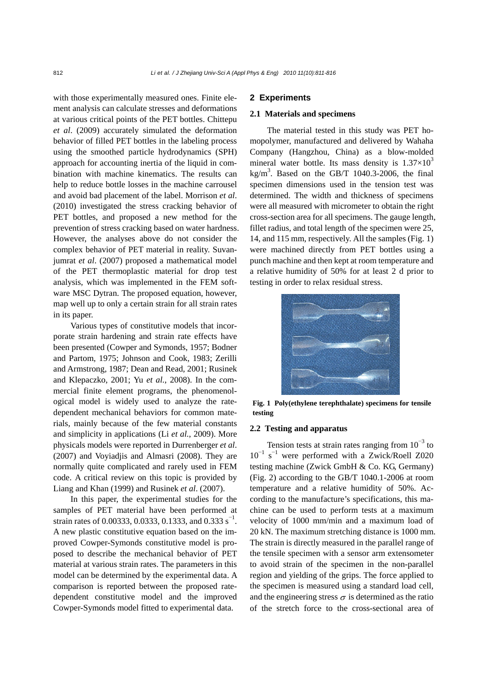with those experimentally measured ones. Finite element analysis can calculate stresses and deformations at various critical points of the PET bottles. Chittepu *et al*. (2009) accurately simulated the deformation behavior of filled PET bottles in the labeling process using the smoothed particle hydrodynamics (SPH) approach for accounting inertia of the liquid in combination with machine kinematics. The results can help to reduce bottle losses in the machine carrousel and avoid bad placement of the label. Morrison *et al*. (2010) investigated the stress cracking behavior of PET bottles, and proposed a new method for the prevention of stress cracking based on water hardness. However, the analyses above do not consider the complex behavior of PET material in reality. Suvanjumrat *et al*. (2007) proposed a mathematical model of the PET thermoplastic material for drop test analysis, which was implemented in the FEM software MSC Dytran. The proposed equation, however, map well up to only a certain strain for all strain rates in its paper.

Various types of constitutive models that incorporate strain hardening and strain rate effects have been presented (Cowper and Symonds, 1957; Bodner and Partom, 1975; Johnson and Cook, 1983; Zerilli and Armstrong, 1987; Dean and Read, 2001; Rusinek and Klepaczko, 2001; Yu *et al.*, 2008). In the commercial finite element programs, the phenomenological model is widely used to analyze the ratedependent mechanical behaviors for common materials, mainly because of the few material constants and simplicity in applications (Li *et al.*, 2009). More physicals models were reported in Durrenberger *et al*. (2007) and Voyiadjis and Almasri (2008). They are normally quite complicated and rarely used in FEM code. A critical review on this topic is provided by Liang and Khan (1999) and Rusinek *et al*. (2007).

In this paper, the experimental studies for the samples of PET material have been performed at strain rates of 0.00333, 0.0333, 0.1333, and 0.333 s<sup>-1</sup>. A new plastic constitutive equation based on the improved Cowper-Symonds constitutive model is proposed to describe the mechanical behavior of PET material at various strain rates. The parameters in this model can be determined by the experimental data. A comparison is reported between the proposed ratedependent constitutive model and the improved Cowper-Symonds model fitted to experimental data.

# **2 Experiments**

#### **2.1 Materials and specimens**

The material tested in this study was PET homopolymer, manufactured and delivered by Wahaha Company (Hangzhou, China) as a blow-molded mineral water bottle. Its mass density is  $1.37\times10^{3}$ kg/m<sup>3</sup>. Based on the GB/T 1040.3-2006, the final specimen dimensions used in the tension test was determined. The width and thickness of specimens were all measured with micrometer to obtain the right cross-section area for all specimens. The gauge length, fillet radius, and total length of the specimen were 25, 14, and 115 mm, respectively. All the samples (Fig. 1) were machined directly from PET bottles using a punch machine and then kept at room temperature and a relative humidity of 50% for at least 2 d prior to testing in order to relax residual stress.



**Fig. 1 Poly(ethylene terephthalate) specimens for tensile testing** 

#### **2.2 Testing and apparatus**

Tension tests at strain rates ranging from  $10^{-3}$  to 10<sup>−</sup><sup>1</sup> s<sup>−</sup><sup>1</sup> were performed with a Zwick/Roell Z020 testing machine (Zwick GmbH & Co. KG, Germany) (Fig. 2) according to the GB/T 1040.1-2006 at room temperature and a relative humidity of 50%. According to the manufacture's specifications, this machine can be used to perform tests at a maximum velocity of 1000 mm/min and a maximum load of 20 kN. The maximum stretching distance is 1000 mm. The strain is directly measured in the parallel range of the tensile specimen with a sensor arm extensometer to avoid strain of the specimen in the non-parallel region and yielding of the grips. The force applied to the specimen is measured using a standard load cell, and the engineering stress  $\sigma$  is determined as the ratio of the stretch force to the cross-sectional area of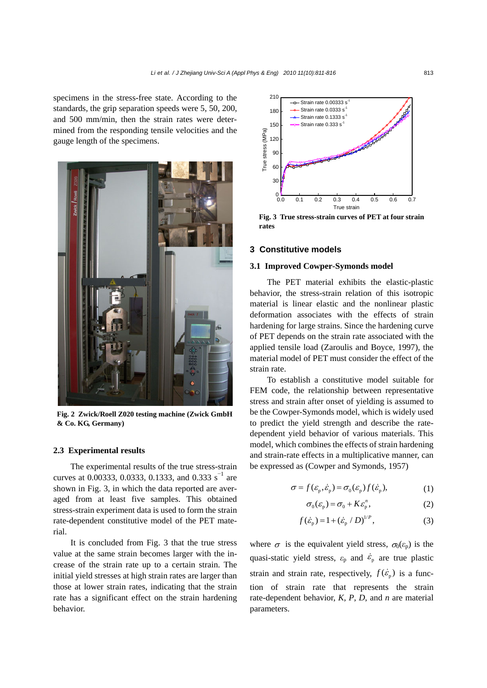specimens in the stress-free state. According to the standards, the grip separation speeds were 5, 50, 200, and 500 mm/min, then the strain rates were determined from the responding tensile velocities and the gauge length of the specimens.



**Fig. 2 Zwick/Roell Z020 testing machine (Zwick GmbH & Co. KG, Germany)** 

#### **2.3 Experimental results**

The experimental results of the true stress-strain curves at 0.00333, 0.0333, 0.1333, and 0.333 s<sup>-1</sup> are shown in Fig. 3, in which the data reported are averaged from at least five samples. This obtained stress-strain experiment data is used to form the strain rate-dependent constitutive model of the PET material.

It is concluded from Fig. 3 that the true stress value at the same strain becomes larger with the increase of the strain rate up to a certain strain. The initial yield stresses at high strain rates are larger than those at lower strain rates, indicating that the strain rate has a significant effect on the strain hardening behavior.



**Fig. 3 True stress-strain curves of PET at four strain rates** 

## **3 Constitutive models**

## **3.1 Improved Cowper-Symonds model**

The PET material exhibits the elastic-plastic behavior, the stress-strain relation of this isotropic material is linear elastic and the nonlinear plastic deformation associates with the effects of strain hardening for large strains. Since the hardening curve of PET depends on the strain rate associated with the applied tensile load (Zaroulis and Boyce, 1997), the material model of PET must consider the effect of the strain rate.

To establish a constitutive model suitable for FEM code, the relationship between representative stress and strain after onset of yielding is assumed to be the Cowper-Symonds model, which is widely used to predict the yield strength and describe the ratedependent yield behavior of various materials. This model, which combines the effects of strain hardening and strain-rate effects in a multiplicative manner, can be expressed as (Cowper and Symonds, 1957)

$$
\sigma = f(\varepsilon_{\mathbf{p}}, \dot{\varepsilon}_{\mathbf{p}}) = \sigma_{0}(\varepsilon_{\mathbf{p}}) f(\dot{\varepsilon}_{\mathbf{p}}), \tag{1}
$$

$$
\sigma_0(\varepsilon_p) = \sigma_0 + K\varepsilon_p^n, \tag{2}
$$

$$
f(\dot{\varepsilon}_{\rm p}) = 1 + (\dot{\varepsilon}_{\rm p} / D)^{1/P}, \tag{3}
$$

where  $\sigma$  is the equivalent yield stress,  $\sigma_0(\varepsilon_p)$  is the quasi-static yield stress,  $\varepsilon_p$  and  $\dot{\varepsilon}_p$  are true plastic strain and strain rate, respectively,  $f(\dot{\varepsilon}_p)$  is a function of strain rate that represents the strain rate-dependent behavior, *K*, *P*, *D*, and *n* are material parameters.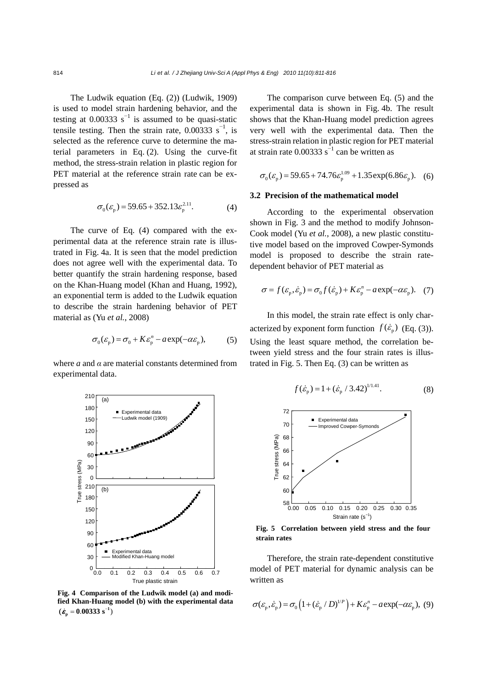The Ludwik equation (Eq. (2)) (Ludwik, 1909) is used to model strain hardening behavior, and the testing at 0.00333  $s^{-1}$  is assumed to be quasi-static tensile testing. Then the strain rate,  $0.00333$  s<sup>-1</sup>, is selected as the reference curve to determine the material parameters in Eq. (2). Using the curve-fit method, the stress-strain relation in plastic region for PET material at the reference strain rate can be expressed as

$$
\sigma_0(\varepsilon_p) = 59.65 + 352.13\varepsilon_p^{2.11}.
$$
 (4)

The curve of Eq. (4) compared with the experimental data at the reference strain rate is illustrated in Fig. 4a. It is seen that the model prediction does not agree well with the experimental data. To better quantify the strain hardening response, based on the Khan-Huang model (Khan and Huang, 1992), an exponential term is added to the Ludwik equation to describe the strain hardening behavior of PET material as (Yu *et al.*, 2008)

$$
\sigma_0(\varepsilon_p) = \sigma_0 + K\varepsilon_p^n - a \exp(-\alpha \varepsilon_p), \qquad (5)
$$

where *a* and *α* are material constants determined from experimental data.



**Fig. 4 Comparison of the Ludwik model (a) and modified Khan-Huang model (b) with the experimental data**  $(\dot{\varepsilon}_p = 0.00333 \text{ s}^{-1})$ 

The comparison curve between Eq. (5) and the experimental data is shown in Fig. 4b. The result shows that the Khan-Huang model prediction agrees very well with the experimental data. Then the stress-strain relation in plastic region for PET material at strain rate  $0.00333$  s<sup>-1</sup> can be written as

$$
\sigma_0(\varepsilon_p) = 59.65 + 74.76\varepsilon_p^{1.09} + 1.35 \exp(6.86\varepsilon_p). \quad (6)
$$

## **3.2 Precision of the mathematical model**

According to the experimental observation shown in Fig. 3 and the method to modify Johnson-Cook model (Yu *et al.*, 2008), a new plastic constitutive model based on the improved Cowper-Symonds model is proposed to describe the strain ratedependent behavior of PET material as

$$
\sigma = f(\varepsilon_{\rm p}, \dot{\varepsilon}_{\rm p}) = \sigma_{0} f(\dot{\varepsilon}_{\rm p}) + K \varepsilon_{\rm p}^{n} - a \exp(-\alpha \varepsilon_{\rm p}). \quad (7)
$$

In this model, the strain rate effect is only characterized by exponent form function  $f(\dot{\varepsilon}_n)$  (Eq. (3)). Using the least square method, the correlation between yield stress and the four strain rates is illustrated in Fig. 5. Then Eq. (3) can be written as

$$
f(\dot{\varepsilon}_{\rm p}) = 1 + (\dot{\varepsilon}_{\rm p} / 3.42)^{1/1.41}.
$$
 (8)



**Fig. 5 Correlation between yield stress and the four strain rates**

Therefore, the strain rate-dependent constitutive model of PET material for dynamic analysis can be written as

$$
\sigma(\varepsilon_{\rm p},\dot{\varepsilon}_{\rm p}) = \sigma_0 \left( 1 + (\dot{\varepsilon}_{\rm p} / D)^{1/P} \right) + K \varepsilon_{\rm p}^n - a \exp(-\alpha \varepsilon_{\rm p}), \tag{9}
$$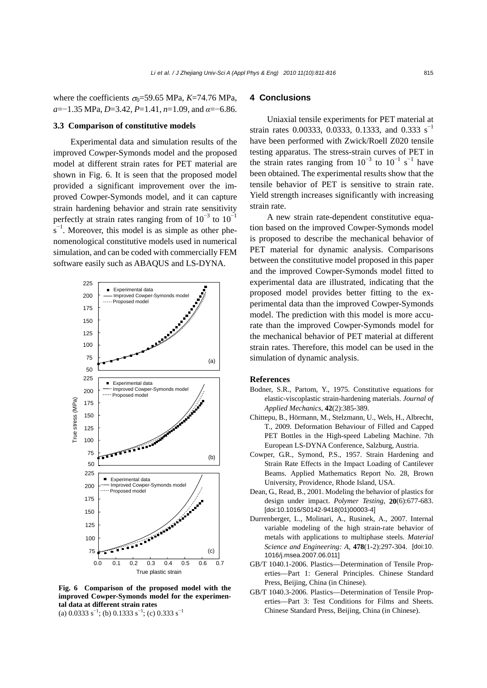where the coefficients  $\sigma_0$ =59.65 MPa, *K*=74.76 MPa, *a*=−1.35 MPa, *D*=3.42, *P*=1.41, *n*=1.09, and *α*=−6.86.

#### **3.3 Comparison of constitutive models**

Experimental data and simulation results of the improved Cowper-Symonds model and the proposed model at different strain rates for PET material are shown in Fig. 6. It is seen that the proposed model provided a significant improvement over the improved Cowper-Symonds model, and it can capture strain hardening behavior and strain rate sensitivity perfectly at strain rates ranging from of  $10^{-3}$  to  $10^{-1}$  $s^{-1}$ . Moreover, this model is as simple as other phenomenological constitutive models used in numerical simulation, and can be coded with commercially FEM software easily such as ABAQUS and LS-DYNA.



**Fig. 6 Comparison of the proposed model with the improved Cowper-Symonds model for the experimental data at different strain rates**  (a)  $0.0333 \text{ s}^{-1}$ ; (b)  $0.1333 \text{ s}^{-1}$ ; (c)  $0.333 \text{ s}^{-1}$ 

# **4 Conclusions**

Uniaxial tensile experiments for PET material at strain rates 0.00333, 0.0333, 0.1333, and 0.333 s<sup>-1</sup> have been performed with Zwick/Roell Z020 tensile testing apparatus. The stress-strain curves of PET in the strain rates ranging from  $10^{-3}$  to  $10^{-1}$  s<sup>-1</sup> have been obtained. The experimental results show that the tensile behavior of PET is sensitive to strain rate. Yield strength increases significantly with increasing strain rate.

A new strain rate-dependent constitutive equation based on the improved Cowper-Symonds model is proposed to describe the mechanical behavior of PET material for dynamic analysis. Comparisons between the constitutive model proposed in this paper and the improved Cowper-Symonds model fitted to experimental data are illustrated, indicating that the proposed model provides better fitting to the experimental data than the improved Cowper-Symonds model. The prediction with this model is more accurate than the improved Cowper-Symonds model for the mechanical behavior of PET material at different strain rates. Therefore, this model can be used in the simulation of dynamic analysis.

#### **References**

- Bodner, S.R., Partom, Y., 1975. Constitutive equations for elastic-viscoplastic strain-hardening materials. *Journal of Applied Mechanics*, **42**(2):385-389.
- Chittepu, B., Hörmann, M., Stelzmann, U., Wels, H., Albrecht, T., 2009. Deformation Behaviour of Filled and Capped PET Bottles in the High-speed Labeling Machine. 7th European LS-DYNA Conference, Salzburg, Austria.
- Cowper, G.R., Symond, P.S., 1957. Strain Hardening and Strain Rate Effects in the Impact Loading of Cantilever Beams. Applied Mathematics Report No. 28, Brown University, Providence, Rhode Island, USA.
- Dean, G., Read, B., 2001. Modeling the behavior of plastics for design under impact. *Polymer Testing*, **20**(6):677-683. [doi:10.1016/S0142-9418(01)00003-4]
- Durrenberger, L., Molinari, A., Rusinek, A., 2007. Internal variable modeling of the high strain-rate behavior of metals with applications to multiphase steels. *Material Science and Engineering: A*, **478**(1-2):297-304. [doi:10. 1016/j.msea.2007.06.011]
- GB/T 1040.1-2006. Plastics—Determination of Tensile Properties—Part 1: General Principles. Chinese Standard Press, Beijing, China (in Chinese).
- GB/T 1040.3-2006. Plastics—Determination of Tensile Properties—Part 3: Test Conditions for Films and Sheets. Chinese Standard Press, Beijing, China (in Chinese).